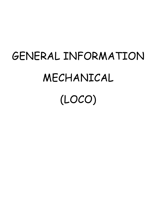# GENERAL INFORMATION MECHANICAL (LOCO)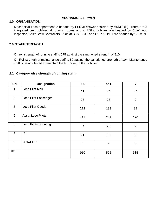### **MECHANICAL (Power)**

### **1.0 ORGANIZATION**

Mechanical Loco department is headed by Sr.DME/Power assisted by ADME (P). There are 5 integrated crew lobbies, 4 running rooms and 4 RDI's. Lobbies are headed by Chief loco inspector /Chief Crew Controllers. RDIs at BKN, LGH, and CUR & HMH are headed by CLI /fuel.

### **2.0 STAFF STRENGTH**

On roll strength of running staff is 575 against the sanctioned strength of 910.

On Roll strength of maintenance staff is 59 against the sanctioned strength of 104. Maintenance staff is being utilized to maintain the R/Room, RDI & Lobbies.

### **2.1 Category wise strength of running staff:-**

| <b>S.N.</b>    | <b>Designation</b>          | <b>SS</b> | <b>OR</b> | $\mathbf v$ |
|----------------|-----------------------------|-----------|-----------|-------------|
| $\mathbf{1}$   | Loco Pilot Mail             | 41        | 05        | 36          |
| 2              | Loco Pilot Passenger        | 98        | 98        | $\pmb{0}$   |
| 3              | Loco Pilot Goods            | 272       | 183       | 89          |
| $\overline{2}$ | Asstt. Loco Pilots          | 411       | 241       | 170         |
| 3              | <b>Loco Pilots Shunting</b> | 34        | 25        | 9           |
| $\overline{4}$ | <b>CLI</b>                  | 21        | 18        | 03          |
| 5              | <b>CCR/PCR</b>              | 33        | 5         | 28          |
| Total          |                             | 910       | 575       | 335         |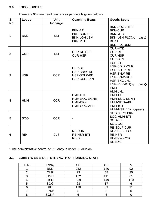### **3.0 LOCO LOBBIES**

There are 06 crew head quarters as per details given below:-.

| S.<br><b>No</b> | Lobby      | <b>Unit</b> | <b>Coaching Beats</b>                                                        | <b>Goods Beats</b>                                                                                                                                       |
|-----------------|------------|-------------|------------------------------------------------------------------------------|----------------------------------------------------------------------------------------------------------------------------------------------------------|
|                 |            | Incharge    |                                                                              |                                                                                                                                                          |
| $\mathbf{1}$    | <b>BKN</b> | <b>CLI</b>  | <b>BKN-BTI</b><br><b>BKN-CUR-DEE</b><br><b>BKN-LGH-JSM</b><br><b>BKN-MTD</b> | BKN-SOG-STPS<br><b>BKN-CUR</b><br><b>BKN-MTD</b><br>BKN-LGH-PLC(by<br>pass)-<br><b>BGKT</b><br><b>BKN-PLC-JSM</b>                                        |
| $\overline{2}$  | <b>CUR</b> | <b>CLI</b>  | <b>CUR-RE-DEE</b><br><b>CUR-HSR</b>                                          | <b>CUR-MTD</b><br><b>CUR-RE</b><br><b>CUR-HSR</b><br><b>CUR-BKN</b>                                                                                      |
| 3               | <b>HSR</b> | <b>CCR</b>  | <b>HSR-BTI</b><br><b>HSR-BNW-RE</b><br>HSR-SDLP-RE<br><b>HSR-CUR-BKN</b>     | <b>HSR-BTI</b><br><b>HSR-SDLP-CUR</b><br><b>HSR-SDLP-RE</b><br><b>HSR-BNW-RE</b><br>HSR-BNW-ROK<br>HSR-BXC-JHL<br>HSR-RKK-BTI(by<br>pass)-<br><b>HMH</b> |
| $\overline{4}$  | <b>HMH</b> | <b>CCR</b>  | HMH-BTI<br>HMH-SOG-SGNR<br><b>HMH-BKN</b><br>HMH-SOG-APH                     | HMH-JHL<br>HMH-DUI<br>HMH-SOG-SGNR<br>HMH-SOG-APH<br>HMH-BTI<br>HMH-HSR (Via by-pass)                                                                    |
| 5               | <b>SOG</b> | <b>CCR</b>  | $\blacksquare$                                                               | SOG-STPS-BKN<br>SOG-HMH-BTI<br>SOG-JHL<br>SOG-DUI                                                                                                        |
| 6               | $RE^*$     | <b>CLS</b>  | <b>RE-CUR</b><br><b>RE-HSR-BTI</b><br><b>RE-DLI</b>                          | <b>RE-SDLP-CUR</b><br><b>RE-SDLP-HSR</b><br><b>RE-HSR</b><br><b>RE-BNW-ROK</b><br>RE-BXC                                                                 |

\* The administrative control of RE lobby is under JP division.

# **3.1 LOBBY WISE STAFF STRENGTH OF RUNNING STAFF**

| S.N.          | Lobby       | SS  | OR  |     |
|---------------|-------------|-----|-----|-----|
|               | <b>BKN</b>  | 232 | 140 | 92  |
| ◠<br><u>.</u> | <b>CUR</b>  | 93  | 58  | 35  |
| 3.            | <b>HMH</b>  | 172 | 111 | 61  |
| 4.            | <b>HSR</b>  | 259 | 149 | 110 |
| 5.            | SOG         | 23  |     |     |
| 6.            | <b>RE</b>   | 120 | 89  | 31  |
| . .           | <b>BNW</b>  |     |     |     |
| 8.            | <b>SGNR</b> |     |     |     |